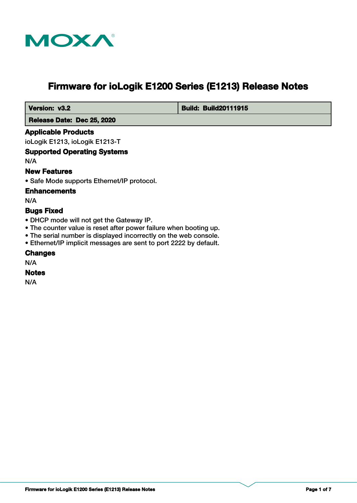

# **Firmware for ioLogik E1200 Series (E1213) Release Notes**

 **Version: v3.2 Build: Build: Build20111915** 

 **Release Date: Dec 25, 2020**

# **Applicable Products**

ioLogik E1213, ioLogik E1213-T

# **Supported Operating Systems**

N/A

# **New Features**

• Safe Mode supports Ethernet/IP protocol.

#### **Enhancements**

N/A

# **Bugs Fixed**

- DHCP mode will not get the Gateway IP.
- The counter value is reset after power failure when booting up.
- The serial number is displayed incorrectly on the web console.
- Ethernet/IP implicit messages are sent to port 2222 by default.

#### **Changes**

N/A

#### **Notes**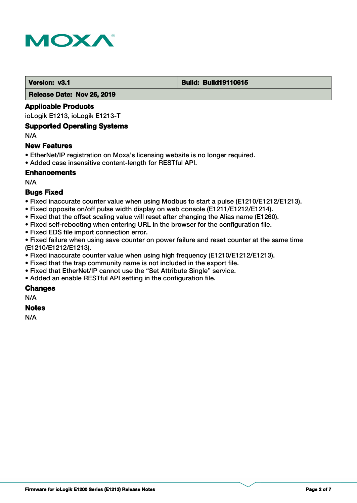

#### **Version: v3.1 Build: Build: Build19110615**

 **Release Date: Nov 26, 2019**

#### **Applicable Products**

ioLogik E1213, ioLogik E1213-T

#### **Supported Operating Systems**

N/A

#### **New Features**

- EtherNet/IP registration on Moxa's licensing website is no longer required.
- Added case insensitive content-length for RESTful API.

# **Enhancements**

N/A

# **Bugs Fixed**

- Fixed inaccurate counter value when using Modbus to start a pulse (E1210/E1212/E1213).
- Fixed opposite on/off pulse width display on web console (E1211/E1212/E1214).
- Fixed that the offset scaling value will reset after changing the Alias name (E1260).
- Fixed self-rebooting when entering URL in the browser for the configuration file.
- Fixed EDS file import connection error.

• Fixed failure when using save counter on power failure and reset counter at the same time (E1210/E1212/E1213).

- Fixed inaccurate counter value when using high frequency (E1210/E1212/E1213).
- Fixed that the trap community name is not included in the export file.
- Fixed that EtherNet/IP cannot use the "Set Attribute Single" service.
- Added an enable RESTful API setting in the configuration file.

# **Changes**

N/A

# **Notes**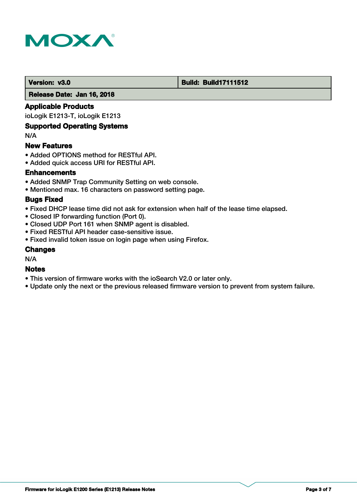

#### **Version: v3.0 Build: Build: Build17111512**

 **Release Date: Jan 16, 2018**

# **Applicable Products**

ioLogik E1213-T, ioLogik E1213

# **Supported Operating Systems**

N/A

#### **New Features**

- Added OPTIONS method for RESTful API.
- Added quick access URI for RESTful API.

# **Enhancements**

- Added SNMP Trap Community Setting on web console.
- Mentioned max. 16 characters on password setting page.

#### **Bugs Fixed**

- Fixed DHCP lease time did not ask for extension when half of the lease time elapsed.
- Closed IP forwarding function (Port 0).
- Closed UDP Port 161 when SNMP agent is disabled.
- Fixed RESTful API header case-sensitive issue.
- Fixed invalid token issue on login page when using Firefox.

#### **Changes**

N/A

# **Notes**

- This version of firmware works with the ioSearch V2.0 or later only.
- Update only the next or the previous released firmware version to prevent from system failure.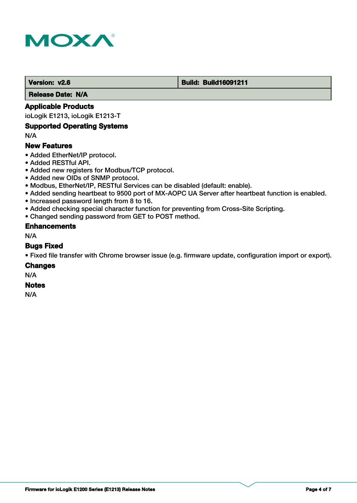

#### **Version: v2.6 Build: Build: Build16091211**

 **Release Date: N/A**

# **Applicable Products**

ioLogik E1213, ioLogik E1213-T

# **Supported Operating Systems**

N/A

# **New Features**

- Added EtherNet/IP protocol.
- Added RESTful API.
- Added new registers for Modbus/TCP protocol.
- Added new OIDs of SNMP protocol.
- Modbus, EtherNet/IP, RESTful Services can be disabled (default: enable).
- Added sending heartbeat to 9500 port of MX-AOPC UA Server after heartbeat function is enabled.
- Increased password length from 8 to 16.
- Added checking special character function for preventing from Cross-Site Scripting.
- Changed sending password from GET to POST method.

#### **Enhancements**

N/A

#### **Bugs Fixed**

• Fixed file transfer with Chrome browser issue (e.g. firmware update, configuration import or export).

#### **Changes**

N/A

# **Notes**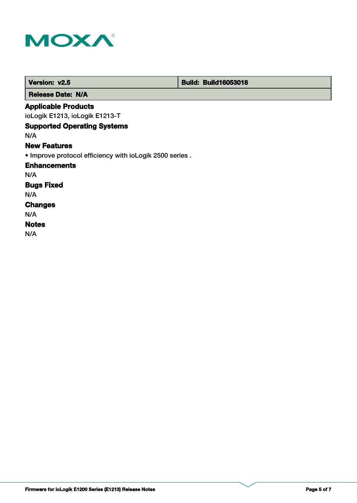

| Version: v2.5                                           | <b>Build: Build16053018</b> |
|---------------------------------------------------------|-----------------------------|
| <b>Release Date: N/A</b>                                |                             |
| <b>Applicable Products</b>                              |                             |
| ioLogik E1213, ioLogik E1213-T                          |                             |
| <b>Supported Operating Systems</b>                      |                             |
| N/A                                                     |                             |
| <b>New Features</b>                                     |                             |
| • Improve protocol efficiency with ioLogik 2500 series. |                             |
| <b>Enhancements</b>                                     |                             |
| N/A                                                     |                             |
| <b>Bugs Fixed</b>                                       |                             |
| N/A                                                     |                             |
| <b>Changes</b>                                          |                             |
| N/A                                                     |                             |
| <b>Notes</b>                                            |                             |
| N/A                                                     |                             |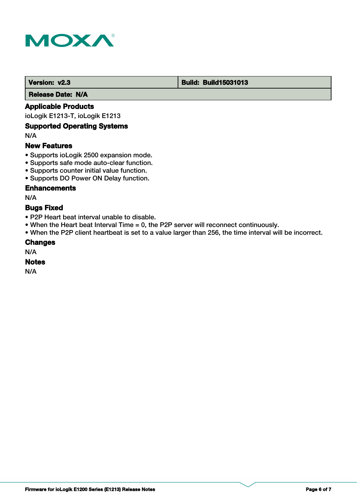

#### **Version: v2.3 Build: Build: Build15031013**

 **Release Date: N/A**

# **Applicable Products**

ioLogik E1213-T, ioLogik E1213

# **Supported Operating Systems**

N/A

#### **New Features**

- Supports ioLogik 2500 expansion mode.
- Supports safe mode auto-clear function.
- Supports counter initial value function.
- Supports DO Power ON Delay function.

# **Enhancements**

N/A

# **Bugs Fixed**

- P2P Heart beat interval unable to disable.
- When the Heart beat Interval Time = 0, the P2P server will reconnect continuously.
- When the P2P client heartbeat is set to a value larger than 256, the time interval will be incorrect.

#### **Changes**

N/A

#### **Notes**